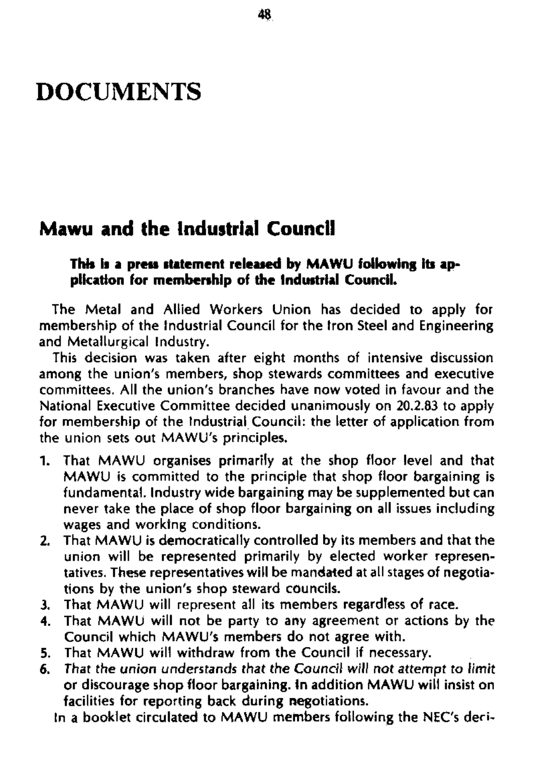# DOCUMENTS

## **Mawu and the Industrial Council**

#### **This is a press statement released by MAWU following its application for membership of the Industrial Council.**

The Metal and Allied Workers Union has decided to apply for membership of the Industrial Council for the Iron Steel and Engineering and Metallurgical Industry.

This decision was taken after eight months of intensive discussion among the union's members, shop stewards committees and executive committees. All the union's branches have now voted in favour and the National Executive Committee decided unanimously on 20.2.83 to apply for membership of the Industrial Council: the letter of application from the union sets out MAWU's principles.

- 1. That MAWU organises primarily at the shop floor level and that MAWU is committed to the principle that shop floor bargaining is fundamental. Industry wide bargaining may be supplemented but can never take the place of shop floor bargaining on all issues including wages and worktng conditions.
- 2. That MAWU is democratically controlled by its members and that the union will be represented primarily by elected worker representatives. These representatives will be mandated at all stages of negotiations by the union's shop steward councils.
- 
- 3. That MAWU will represent all its members regardless of race.
- 4. That MAWU will not be party to any agreement or actions by the Council which MAWU's members do not agree with.
- 5. That MAWU will withdraw from the Council if necessary.
- 6. That the union understands that the Council will not attempt to limit or discourage shop floor bargaining. In addition MAWU will insist on facilities for reporting back during negotiations. In a booklet circulated to MAWU members following the NEC's deci-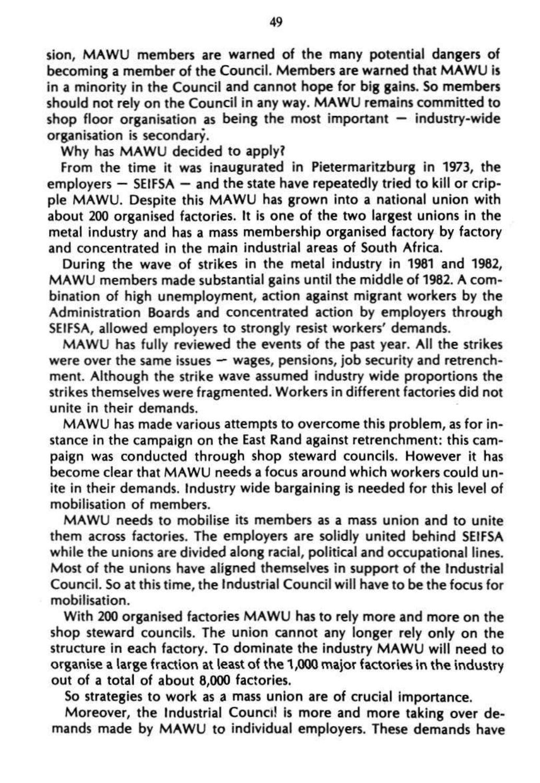sion, MAWU members are warned of the many potential dangers of becoming a member of the Council. Members are warned that MAWU is in a minority in the Council and cannot hope for big gains. So members should not rely on the Council in any way. MAWU remains committed to shop floor organisation as being the most important  $-$  industry-wide organisation is secondary.

Why has MAWU decided to apply?

From the time it was inaugurated in Pietermaritzburg in 1973, the employers — SEIFSA — and the state have repeatedly tried to kill or cripple MAWU. Despite this MAWU has grown into a national union with about 200 organised factories. It is one of the two largest unions in the metal industry and has a mass membership organised factory by factory and concentrated in the main industrial areas of South Africa.

During the wave of strikes in the metal industry in 1981 and 1982, MAWU members made substantial gains until the middle of 1982. A combination of high unemployment, action against migrant workers by the Administration Boards and concentrated action by employers through SEIFSA, allowed employers to strongly resist workers' demands.

MAWU has fully reviewed the events of the past year. All the strikes were over the same issues — wages, pensions, job security and retrenchment. Although the strike wave assumed industry wide proportions the strikes themselves were fragmented. Workers in different factories did not unite in their demands.

MAWU has made various attempts to overcome this problem, as for instance in the campaign on the East Rand against retrenchment: this campaign was conducted through shop steward councils. However it has become clear that MAWU needs a focus around which workers could unite in their demands. Industry wide bargaining is needed for this level of mobilisation of members,

MAWU needs to mobilise its members as a mass union and to unite them across factories. The employers are solidly united behind SEIFSA while the unions are divided along racial, political and occupational lines. Most of the unions have aligned themselves in support of the Industrial Council. So at this time, the Industrial Council will have to be the focus for mobilisation. With 200 organised factories MAWU has to rely more and more on the shop steward councils. The union cannot any longer rely only on the structure in each factory. To dominate the industry MAWU will need to organise a large fraction at least of the 1,000 major factories in the industry out of a total of about 8,000 factories.

So strategies to work as a mass union are of crucial importance. Moreover, the Industrial Council is more and more taking over demands made by MAWU to individual employers. These demands have